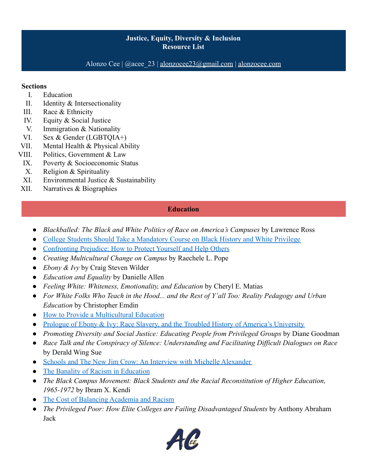Alonzo Cee  $|$  @acee 23 | [alonzocee23@gmail.com](mailto:alonzocee23@gmail.com) | [alonzocee.com](http://alonzocee.com)

#### **Sections**

- I. Education
- II. Identity & Intersectionality
- III. Race & Ethnicity
- IV. Equity & Social Justice
- V. Immigration & Nationality
- VI. Sex & Gender (LGBTQIA+)
- VII. Mental Health & Physical Ability
- VIII. Politics, Government & Law
- IX. Poverty & Socioeconomic Status
- X. Religion & Spirituality
- XI. Environmental Justice & Sustainability
- XII. Narratives & Biographies

# **Education**

- *Blackballed: The Black and White Politics of Race on America's Campuses* by Lawrence Ross
- [College Students Should Take a Mandatory Course on Black History and White Privilege](https://amp.usatoday.com/amp/2389375001)
- [Confronting Prejudice: How to Protect Yourself and Help Others](https://onlinegrad.pepperdine.edu/blog/prejudice-discrimination-coping-skills/)
- *Creating Multicultural Change on Campus* by Raechele L. Pope
- *Ebony & Ivy* by Craig Steven Wilder
- *Education and Equality* by Danielle Allen
- *Feeling White: Whiteness, Emotionality, and Education* by Cheryl E. Matias
- *For White Folks Who Teach in the Hood... and the Rest of Y'all Too: Reality Pedagogy and Urban Education* by Christopher Emdin
- [How to Provide a Multicultural Education](https://onlinegrad.baylor.edu/resources/multicultural-education-strategies/)
- [Prologue of Ebony & Ivy: Race Slavery, and the Troubled History of America's University](https://www.democracynow.org/2013/10/29/read_ebony_and_ivy_race_slavery)
- *Promoting Diversity and Social Justice: Educating People from Privileged Groups* by Diane Goodman
- *Race Talk and the Conspiracy of Silence: Understanding and Facilitating Difficult Dialogues on Race* by Derald Wing Sue
- [Schools and The New Jim Crow: An Interview with Michelle Alexander](https://rethinkingschools.org/articles/schools-and-the-new-jim-crow-an-interview-with-michelle-alexander/)
- [The Banality of Racism in Education](https://www.brookings.edu/blog/brown-center-chalkboard/2020/06/04/the-banality-of-racism-in-education/)
- *The Black Campus Movement: Black Students and the Racial Reconstitution of Higher Education, 1965-1972* by Ibram X. Kendi
- [The Cost of Balancing Academia and Racism](https://www.theatlantic.com/education/archive/2016/01/balancing-academia-racism/424887/)
- *The Privileged Poor: How Elite Colleges are Failing Disadvantaged Students* by Anthony Abraham Jack

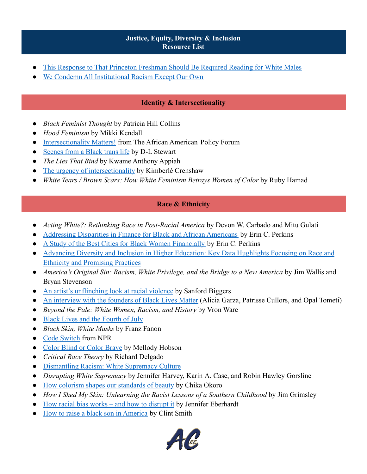- [This Response to That Princeton Freshman Should Be Required Reading for White Males](https://www.mic.com/articles/88903/this-response-to-that-princeton-freshman-should-be-required-reading-for-white-males)
- [We Condemn All Institutional Racism Except Our Own](https://www.mcsweeneys.net/articles/we-condemn-all-institutional-racism-except-our-own)

# **Identity & Intersectionality**

- *Black Feminist Thought* by Patricia Hill Collins
- *Hood Feminism* by Mikki Kendall
- [Intersectionality Matters!](https://www.aapf.org/imkc-podcast-episodes) from The African American Policy Forum
- [Scenes from a Black trans life](https://www.ted.com/talks/d_l_stewart_scenes_from_a_black_trans_life?language=en) by D-L Stewart
- *The Lies That Bind* by Kwame Anthony Appiah
- [The urgency of intersectionality](https://www.ted.com/talks/kimberle_crenshaw_the_urgency_of_intersectionality?language=en) by Kimberlé Crenshaw
- *White Tears / Brown Scars: How White Feminism Betrays Women of Color* by Ruby Hamad

#### **Race & Ethnicity**

- *Acting White?: Rethinking Race in Post-Racial America* by Devon W. Carbado and Mitu Gulati
- [Addressing Disparities in Finance for Black and African Americans](https://www.moneygeek.com/financial-planning/resources/black-african-american/) by Erin C. Perkins
- [A Study of the Best Cities for Black Women Financially](https://www.moneygeek.com/living/best-cities-black-women/) by Erin C. Perkins
- [Advancing Diversity and Inclusion in Higher Education: Key Data Hughlights Focusing on Race and](https://www2.ed.gov/rschstat/research/pubs/advancing-diversity-inclusion.pdf) [Ethnicity and Promising Practices](https://www2.ed.gov/rschstat/research/pubs/advancing-diversity-inclusion.pdf)
- *America's Original Sin: Racism, White Privilege, and the Bridge to a New America* by Jim Wallis and Bryan Stevenson
- [An artist's unflinching look at racial violence](https://www.ted.com/talks/sanford_biggers_an_artist_s_unflinching_look_at_racial_violence?language=en) by Sanford Biggers
- [An interview with the founders of Black Lives Matter](https://www.ted.com/talks/alicia_garza_patrisse_cullors_and_opal_tometi_an_interview_with_the_founders_of_black_lives_matter?language=en) (Alicia Garza, Patrisse Cullors, and Opal Tometi)
- *Beyond the Pale: White Women, Racism, and History* by Vron Ware
- [Black Lives and the Fourth of July](https://www.thenation.com/article/society/juneteenth-independence-day/)
- *Black Skin, White Masks* by Franz Fanon
- [Code Switch](https://www.npr.org/sections/codeswitch/) from NPR
- [Color Blind or Color Brave](https://www.ted.com/talks/mellody_hobson_color_blind_or_color_brave?language=en#t-828966) by Mellody Hobson
- *Critical Race Theory* by Richard Delgado
- [Dismantling Racism: White Supremacy Culture](https://www.dismantlingracism.org/white-supremacy-culture.html)
- *Disrupting White Supremacy* by Jennifer Harvey, Karin A. Case, and Robin Hawley Gorsline
- [How colorism shapes our standards of beauty](https://www.ted.com/talks/chika_okoro_how_colorism_shapes_our_standards_of_beauty?language=en) by Chika Okoro
- *How I Shed My Skin: Unlearning the Racist Lessons of a Southern Childhood* by Jim Grimsley
- [How racial bias works and how to disrupt it](https://www.ted.com/talks/jennifer_l_eberhardt_how_racial_bias_works_and_how_to_disrupt_it?language=en) by Jennifer Eberhardt
- [How to raise a black son in America](https://www.ted.com/talks/clint_smith_how_to_raise_a_black_son_in_america?language=en) by Clint Smith

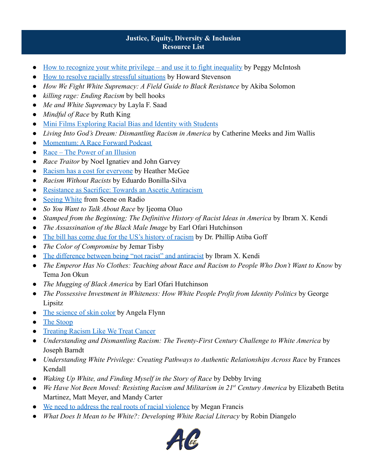- [How to recognize your white privilege and use it to fight inequality](https://www.ted.com/talks/peggy_mcintosh_how_to_recognize_your_white_privilege_and_use_it_to_fight_inequality?language=en) by Peggy McIntosh
- [How to resolve racially stressful situations](https://www.ted.com/talks/howard_c_stevenson_how_to_resolve_racially_stressful_situations) by Howard Stevenson
- *How We Fight White Supremacy: A Field Guide to Black Resistance* by Akiba Solomon
- *killing rage: Ending Racism* by bell hooks
- *Me and White Supremacy* by Layla F. Saad
- *Mindful of Race* by Ruth King
- [Mini Films Exploring Racial Bias and Identity with Students](https://www.nytimes.com/2017/03/15/learning/lesson-plans/25-mini-films-for-exploring-race-bias-and-identity-with-students.html?mcubz=0)
- *Living Into God's Dream: Dismantling Racism in America* by Catherine Meeks and Jim Wallis
- [Momentum: A Race Forward Podcast](https://www.raceforward.org/media/podcast/momentum-race-forward-podcast)
- [Race The Power of an Illusion](http://www.pbs.org/race/000_General/000_00-Home.htm)
- *Race Traitor* by Noel Ignatiev and John Garvey
- [Racism has a cost for everyone](https://www.ted.com/talks/heather_c_mcghee_racism_has_a_cost_for_everyone?language=en) by Heather McGee
- *Racism Without Racists* by Eduardo Bonilla-Silva
- [Resistance as Sacrifice: Towards an Ascetic Antiracism](https://papers.ssrn.com/sol3/papers.cfm?abstract_id=3403394)
- [Seeing White](https://www.sceneonradio.org/seeing-white/) from Scene on Radio
- *So You Want to Talk About Race* by Ijeoma Oluo
- *Stamped from the Beginning; The Definitive History of Racist Ideas in America* by Ibram X. Kendi
- *The Assassination of the Black Male Image* by Earl Ofari Hutchinson
- [The bill has come due for the US's history of racism](https://www.ted.com/talks/dr_phillip_atiba_goff_the_bill_has_come_due_for_the_us_s_history_of_racism) by Dr. Phillip Atiba Goff
- *The Color of Compromise* by Jemar Tisby
- [The difference between being "not racist" and antiracist](https://www.ted.com/talks/ibram_x_kendi_the_difference_between_being_not_racist_and_antiracist?language=en) by Ibram X. Kendi
- *The Emperor Has No Clothes: Teaching about Race and Racism to People Who Don't Want to Know* by Tema Jon Okun
- *The Mugging of Black America* by Earl Ofari Hutchinson
- *The Possessive Investment in Whiteness: How White People Profit from Identity Politics* by George Lipsitz
- [The science of skin color](https://www.ted.com/talks/angela_koine_flynn_the_science_of_skin_color?language=en) by Angela Flynn
- [The Stoop](http://www.thestoop.org/)
- [Treating Racism Like We Treat Cancer](https://onbeing.org/blog/treating-racism-like-we-treat-cancer/)
- *Understanding and Dismantling Racism: The Twenty-First Century Challenge to White America* by Joseph Barndt
- *Understanding White Privilege: Creating Pathways to Authentic Relationships Across Race* by Frances Kendall
- *Waking Up White, and Finding Myself in the Story of Race* by Debby Irving
- *We Have Not Been Moved: Resisting Racism and Militarism in 21st Century America* by Elizabeth Betita Martinez, Matt Meyer, and Mandy Carter
- [We need to address the real roots of racial violence](https://www.ted.com/talks/megan_ming_francis_we_need_to_address_the_real_roots_of_racial_violence?language=en) by Megan Francis
- *What Does It Mean to be White?: Developing White Racial Literacy* by Robin Diangelo

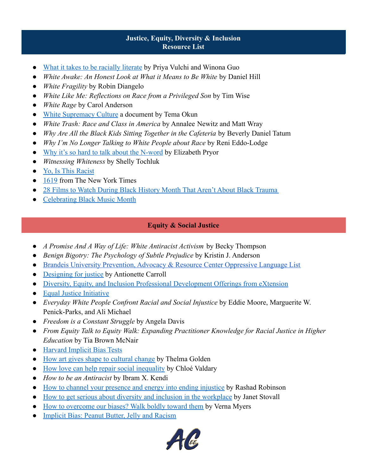- [What it takes to be racially literate](https://www.ted.com/talks/priya_vulchi_and_winona_guo_what_it_takes_to_be_racially_literate?language=en) by Priya Vulchi and Winona Guo
- *White Awake: An Honest Look at What it Means to Be White by Daniel Hill*
- *White Fragility* by Robin Diangelo
- *White Like Me: Reflections on Race from a Privileged Son* by Tim Wise
- *White Rage* by Carol Anderson
- [White Supremacy Culture](https://www.dismantlingracism.org/uploads/4/3/5/7/43579015/okun_-_white_sup_culture.pdf) a document by Tema Okun
- *White Trash: Race and Class in America* by Annalee Newitz and Matt Wray
- *Why Are All the Black Kids Sitting Together in the Cafeteria* by Beverly Daniel Tatum
- *Why I'm No Longer Talking to White People about Race* by Reni Eddo-Lodge
- [Why it's so hard to talk about the N-word](https://www.ted.com/talks/elizabeth_stordeur_pryor_why_it_s_so_hard_to_talk_about_the_n_word?language=en) by Elizabeth Pryor
- *Witnessing Whiteness* by Shelly Tochluk
- [Yo, Is This Racist](https://www.earwolf.com/show/yo-is-this-racist/)
- [1619](https://www.nytimes.com/2020/01/23/podcasts/1619-podcast.html) from The New York Times
- [28 Films to Watch During Black History Month That Aren't About Black Trauma](https://www.popsugar.com/entertainment/movies-about-black-joy-48137615)
- [Celebrating Black Music Month](https://nmaahc.si.edu/blog-post/celebrating-black-music-month)

# **Equity & Social Justice**

- *A Promise And A Way of Life: White Antiracist Activism* by Becky Thompson
- *Benign Bigotry: The Psychology of Subtle Prejudice by Kristin J. Anderson*
- [Brandeis University Prevention, Advocacy & Resource Center Oppressive Language List](https://sites.google.com/brandeis.edu/parcsuggestedlanguagelist/categories)
- [Designing for justice](https://www.ted.com/talks/antionette_carroll_designing_for_justice) by Antionette Carroll
- [Diversity, Equity, and Inclusion Professional Development Offerings from eXtension](https://dei.extension.org/)
- [Equal Justice Initiative](https://eji.org/)
- *Everyday White People Confront Racial and Social Injustice* by Eddie Moore, Marguerite W. Penick-Parks, and Ali Michael
- *Freedom is a Constant Struggle* by Angela Davis
- *From Equity Talk to Equity Walk: Expanding Practitioner Knowledge for Racial Justice in Higher Education* by Tia Brown McNair
- [Harvard Implicit Bias Tests](https://implicit.harvard.edu/implicit/takeatest.html)
- [How art gives shape to cultural change](https://www.ted.com/talks/thelma_golden_how_art_gives_shape_to_cultural_change?language=en) by Thelma Golden
- [How love can help repair social inequality](https://www.ted.com/talks/chloe_valdary_how_love_can_help_repair_social_inequality) by Chloé Valdary
- *How to be an Antiracist* by Ibram X. Kendi
- [How to channel your presence and energy into ending injustice](https://www.ted.com/talks/rashad_robinson_how_to_channel_your_presence_and_energy_into_ending_injustice) by Rashad Robinson
- [How to get serious about diversity and inclusion in the workplace](https://www.ted.com/talks/janet_stovall_how_to_get_serious_about_diversity_and_inclusion_in_the_workplace?language=en) by Janet Stovall
- [How to overcome our biases? Walk boldly toward them](https://www.ted.com/talks/verna_myers_how_to_overcome_our_biases_walk_boldly_toward_them?language=en) by Verna Myers
- [Implicit Bias: Peanut Butter, Jelly and Racism](https://www.youtube.com/watch?v=1JVN2qWSJF4)

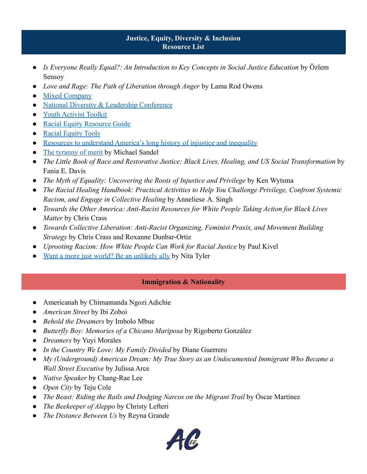- *Is Everyone Really Equal?: An Introduction to Key Concepts in Social Justice Education* by Özlem Sensoy
- *Love and Rage: The Path of Liberation through Anger* by Lama Rod Owens
- **[Mixed Company](https://www.mixedcompanypodcast.com/)**
- [National Diversity & Leadership Conference](http://nationaldiversityconference.com/2020/)
- [Youth Activist Toolkit](https://advocatesforyouth.org/wp-content/uploads/2019/04/Youth-Activist-Toolkit.pdf)
- [Racial Equity Resource Guide](http://www.racialequityresourceguide.org/resources/resources)
- [Racial Equity Tools](https://www.racialequitytools.org/home)
- [Resources to understand America's long history of injustice and inequality](https://www.washingtonpost.com/nation/2020/06/08/understanding-racism-inequality-america/?arc404=true)
- [The tyranny of merit](https://www.ted.com/talks/michael_sandel_the_tyranny_of_merit) by Michael Sandel
- *The Little Book of Race and Restorative Justice: Black Lives, Healing, and US Social Transformation* by Fania E. Davis
- *The Myth of Equality: Uncovering the Roots of Injustice and Privilege* by Ken Wytsma
- *The Racial Healing Handbook: Practical Activities to Help You Challenge Privilege, Confront Systemic Racism, and Engage in Collective Healing* by Anneliese A. Singh
- *Towards the Other America: Anti-Racist Resources for White People Taking Action for Black Lives Matter* by Chris Crass
- *Towards Collective Liberation: Anti-Racist Organizing, Feminist Praxis, and Movement Building Strategy* by Chris Crass and Roxanne Dunbar-Ortiz
- *Uprooting Racism: How White People Can Work for Racial Justice* by Paul Kivel
- [Want a more just world? Be an unlikely ally](https://www.ted.com/talks/nita_mosby_tyler_want_a_more_just_world_be_an_unlikely_ally?language=en) by Nita Tyler

# **Immigration & Nationality**

- Americanah by Chimamanda Ngozi Adichie
- *American Street* by Ibi Zoboi
- *Behold the Dreamers* by Imbolo Mbue
- *Butterfly Boy: Memories of a Chicano Mariposa* by Rigoberto González
- *Dreamers* by Yuyi Morales
- *In the Country We Love: My Family Divided* by Diane Guerrero
- *My (Underground) American Dream: My True Story as an Undocumented Immigrant Who Became a Wall Street Executive* by Julissa Arce
- *Native Speaker* by Chang-Rae Lee
- *Open City* by Teju Cole
- *The Beast: Riding the Rails and Dodging Narcos on the Migrant Trail* by Óscar Martínez
- *The Beekeeper of Aleppo* by Christy Lefteri
- The Distance Between Us by Reyna Grande

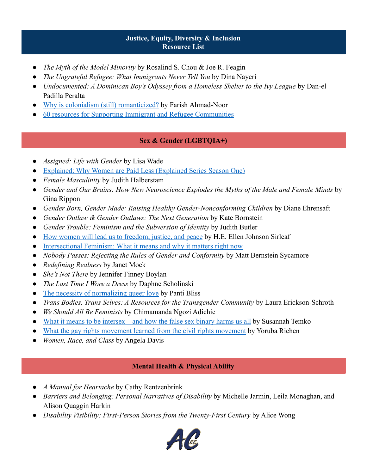- *The Myth of the Model Minority* by Rosalind S. Chou & Joe R. Feagin
- *The Ungrateful Refugee: What Immigrants Never Tell You* by Dina Nayeri
- *Undocumented: A Dominican Boy's Odyssey from a Homeless Shelter to the Ivy League* by Dan-el Padilla Peralta
- [Why is colonialism \(still\) romanticized?](https://www.ted.com/talks/farish_ahmad_noor_why_is_colonialism_still_romanticized) by Farish Ahmad-Noor
- [60 resources for Supporting Immigrant and Refugee Communities](https://www.onlinemswprograms.com/resources/social-issues/support-resources-immigrants-refugees/)

# **Sex & Gender (LGBTQIA+)**

- Assigned: Life with Gender by Lisa Wade
- **[Explained: Why Women are Paid Less \(Explained Series Season One\)](https://www.netflix.com/title/80216752)**
- *Female Masculinity* by Judith Halberstam
- *Gender and Our Brains: How New Neuroscience Explodes the Myths of the Male and Female Minds* by Gina Rippon
- *Gender Born, Gender Made: Raising Healthy Gender-Nonconforming Children* by Diane Ehrensaft
- *Gender Outlaw & Gender Outlaws: The Next Generation* by Kate Bornstein
- *Gender Trouble: Feminism and the Subversion of Identity* by Judith Butler
- [How women will lead us to freedom, justice, and peace](https://www.ted.com/talks/h_e_ellen_johnson_sirleaf_how_women_will_lead_us_to_freedom_justice_and_peace) by H.E. Ellen Johnson Sirleaf
- [Intersectional Feminism: What it means and why it matters right now](https://www.unwomen.org/en/news/stories/2020/6/explainer-intersectional-feminism-what-it-means-and-why-it-matters)
- *Nobody Passes: Rejecting the Rules of Gender and Conformity* by Matt Bernstein Sycamore
- *Redefining Realness* by Janet Mock
- *She's Not There* by Jennifer Finney Boylan
- *The Last Time I Wore a Dress* by Daphne Scholinski
- [The necessity of normalizing queer love](https://www.ted.com/talks/panti_bliss_the_necessity_of_normalizing_queer_love) by Panti Bliss
- *Trans Bodies, Trans Selves: A Resources for the Transgender Community* by Laura Erickson-Schroth
- *We Should All Be Feminists* by Chimamanda Ngozi Adichie
- [What it means to be intersex and how the false sex binary harms us all](https://www.ted.com/talks/susannah_temko_what_it_means_to_be_intersex_and_how_the_false_sex_binary_harms_us_all) by Susannah Temko
- [What the gay rights movement learned from the civil rights movement](https://www.ted.com/talks/yoruba_richen_what_the_gay_rights_movement_learned_from_the_civil_rights_movement?language=en) by Yoruba Richen
- *Women, Race, and Class* by Angela Davis

# **Mental Health & Physical Ability**

- *A Manual for Heartache* by Cathy Rentzenbrink
- *Barriers and Belonging: Personal Narratives of Disability* by Michelle Jarmin, Leila Monaghan, and Alison Quaggin Harkin
- *Disability Visibility: First-Person Stories from the Twenty-First Century* by Alice Wong

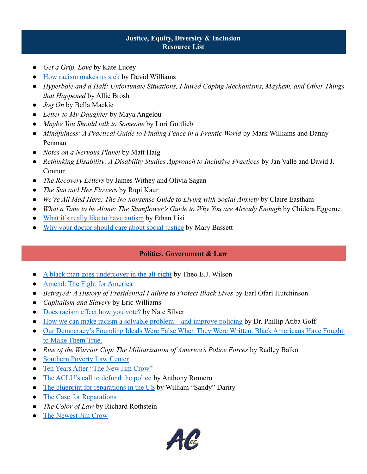- *Get a Grip, Love* by Kate Lucey
- **EXECUTE:** [How racism makes us sick](https://www.ted.com/talks/david_r_williams_how_racism_makes_us_sick?language=en) by David Williams
- *Hyperbole and a Half: Unfortunate Situations, Flawed Coping Mechanisms, Mayhem, and Other Things that Happened* by Allie Brosh
- *Jog On* by Bella Mackie
- *Letter to My Daughter* by Maya Angelou
- *Maybe You Should talk to Someone* by Lori Gottlieb
- *Mindfulness: A Practical Guide to Finding Peace in a Frantic World* by Mark Williams and Danny Penman
- *Notes on a Nervous Planet* by Matt Haig
- *Rethinking Disability: A Disability Studies Approach to Inclusive Practices* by Jan Valle and David J. Connor
- *The Recovery Letters* by James Withey and Olivia Sagan
- *The Sun and Her Flowers* by Rupi Kaur
- *We're All Mad Here: The No-nonsense Guide to Living with Social Anxiety* by Claire Eastham
- *What a Time to be Alone: The Slumflower's Guide to Why You are Already Enough* by Chidera Eggerue
- [What it's really like to have autism](https://www.ted.com/talks/ethan_lisi_what_it_s_really_like_to_have_autism) by Ethan Lisi
- [Why your doctor should care about social justice](https://www.ted.com/talks/mary_bassett_why_your_doctor_should_care_about_social_justice) by Mary Bassett

# **Politics, Government & Law**

- [A black man goes undercover in the alt-right](https://www.ted.com/talks/theo_e_j_wilson_a_black_man_goes_undercover_in_the_alt_right?language=en) by Theo E.J. Wilson
- [Amend: The Fight for America](https://www.netflix.com/title/80219054)
- *Betrayed: A History of Presidential Failure to Protect Black Lives* by Earl Ofari Hutchinson
- *Capitalism and Slavery* by Eric Williams
- [Does racism effect how you vote?](https://www.ted.com/talks/nate_silver_does_racism_affect_how_you_vote?language=en) by Nate Silver
- [How we can make racism a solvable problem and improve policing](https://www.ted.com/talks/dr_phillip_atiba_goff_how_we_can_make_racism_a_solvable_problem_and_improve_policing) by Dr. Phillip Atiba Goff
- [Our Democracy's Founding Ideals Were False When They Were Written. Black Americans Have Fought](https://www.nytimes.com/interactive/2019/08/14/magazine/black-history-american-democracy.html) [to Make Them True.](https://www.nytimes.com/interactive/2019/08/14/magazine/black-history-american-democracy.html)
- *Rise of the Warrior Cop: The Militarization of America's Police Forces* by Radley Balko
- [Southern Poverty Law Center](https://www.splcenter.org/)
- [Ten Years After "The New Jim Crow"](https://www.newyorker.com/news/the-new-yorker-interview/ten-years-after-the-new-jim-crow)
- [The ACLU's call to defund the police](https://www.ted.com/talks/anthony_d_romero_the_aclu_s_call_to_defund_the_police) by Anthony Romero
- [The blueprint for reparations in the US](https://www.ted.com/talks/william_sandy_darity_a_blueprint_for_reparations_in_the_us) by William "Sandy" Darity
- [The Case for Reparations](https://www.theatlantic.com/magazine/archive/2014/06/the-case-for-reparations/361631/)
- *The Color of Law* by Richard Rothstein
- [The Newest Jim Crow](https://www.nytimes.com/2018/11/08/opinion/sunday/criminal-justice-reforms-race-technology.html)

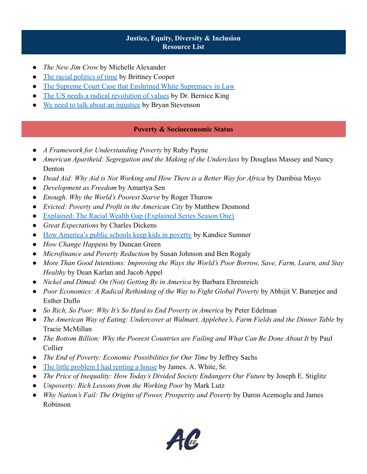- The New Jim Crow by Michelle Alexander
- [The racial politics of time](https://www.ted.com/talks/brittney_cooper_the_racial_politics_of_time?language=en) by Brittney Cooper
- [The Supreme Court Case that Enshrined White Supremacy in Law](https://www.newyorker.com/magazine/2019/02/04/the-supreme-court-case-that-enshrined-white-supremacy-in-law)
- [The US needs a radical revolution of values](https://www.ted.com/talks/dr_bernice_king_the_us_needs_a_radical_revolution_of_values) by Dr. Bernice King
- [We need to talk about an injustice](https://www.ted.com/talks/bryan_stevenson_we_need_to_talk_about_an_injustice?language=en) by Bryan Stevenson

# **Poverty & Socioeconomic Status**

- A Framework for Understanding Poverty by Ruby Payne
- *American Apartheid: Segregation and the Making of the Underclass* by Douglass Massey and Nancy Denton
- *Dead Aid: Why Aid is Not Working and How There is a Better Way for Africa by Dambisa Moyo*
- *Development as Freedom* by Amartya Sen
- *Enough. Why the World's Poorest Starve* by Roger Thurow
- *Evicted: Poverty and Profit in the American City* by Matthew Desmond
- [Explained: The Racial Wealth Gap \(Explained Series Season One\)](https://www.netflix.com/title/80216752)
- *Great Expectations* by Charles Dickens
- [How America's public schools keep kids in poverty](https://www.ted.com/talks/kandice_sumner_how_america_s_public_schools_keep_kids_in_poverty?language=en) by Kandice Sumner
- *How Change Happens* by Duncan Green
- *Microfinance and Poverty Reduction* by Susan Johnson and Ben Rogaly
- *More Than Good Intentions: Improving the Ways the World's Poor Borrow, Save, Farm, Learn, and Stay Healthy* by Dean Karlan and Jacob Appel
- *Nickel and Dimed: On (Not) Getting By in America* by Barbara Ehrenreich
- *Poor Economics: A Radical Rethinking of the Way to Fight Global Poverty* by Abhijit V. Banerjee and Esther Duflo
- *So Rich, So Poor: Why It's So Hard to End Poverty in America* by Peter Edelman
- *The American Way of Eating: Undercover at Walmart, Applebee's, Farm Fields and the Dinner Table* by Tracie McMillan
- *The Bottom Billion: Why the Poorest Countries are Failing and What Can Be Done About It* by Paul Collier
- *The End of Poverty: Economic Possibilities for Our Time* by Jeffrey Sachs
- [The little problem I had renting a house](https://www.ted.com/talks/james_a_white_sr_the_little_problem_i_had_renting_a_house?language=en) by James. A. White, Sr.
- *The Price of Inequality: How Today's Divided Society Endangers Our Future* by Joseph E. Stiglitz
- *Unpoverty: Rich Lessons from the Working Poor* by Mark Lutz
- Why Nation's Fail: The Origins of Power, Prosperity and Poverty by Daron Acemoglu and James Robinson

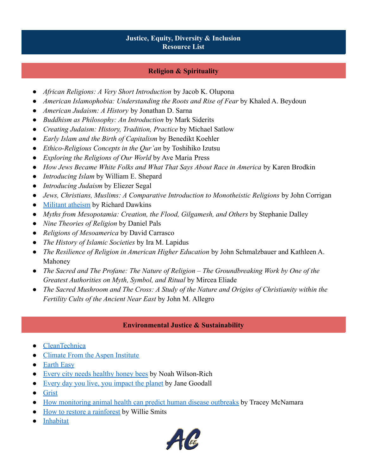# **Religion & Spirituality**

- *African Religions: A Very Short Introduction* by Jacob K. Olupona
- *American Islamophobia: Understanding the Roots and Rise of Fear* by Khaled A. Beydoun
- *American Judaism: A History* by Jonathan D. Sarna
- *Buddhism as Philosophy: An Introduction* by Mark Siderits
- *Creating Judaism: History, Tradition, Practice* by Michael Satlow
- *Early Islam and the Birth of Capitalism* by Benedikt Koehler
- *Ethico-Religious Concepts in the Qur'an* by Toshihiko Izutsu
- *Exploring the Religions of Our World* by Ave Maria Press
- *How Jews Became White Folks and What That Says About Race in America* by Karen Brodkin
- *Introducing Islam* by William E. Shepard
- *Introducing Judaism* by Eliezer Segal
- *Jews, Christians, Muslims: A Comparative Introduction to Monotheistic Religions* by John Corrigan
- [Militant atheism](https://www.ted.com/talks/richard_dawkins_militant_atheism?language=en) by Richard Dawkins
- *Myths from Mesopotamia: Creation, the Flood, Gilgamesh, and Others* by Stephanie Dalley
- *Nine Theories of Religion* by Daniel Pals
- *Religions of Mesoamerica* by David Carrasco
- *The History of Islamic Societies* by Ira M. Lapidus
- *The Resilience of Religion in American Higher Education* by John Schmalzbauer and Kathleen A. Mahoney
- *The Sacred and The Profane: The Nature of Religion The Groundbreaking Work by One of the Greatest Authorities on Myth, Symbol, and Ritual* by Mircea Eliade
- *The Sacred Mushroom and The Cross: A Study of the Nature and Origins of Christianity within the Fertility Cults of the Ancient Near East* by John M. Allegro

#### **Environmental Justice & Sustainability**

- **[CleanTechnica](http://cleantechnica.com)**
- [Climate From the Aspen Institute](http://aspeninstitute.org/topics/climate)
- [Earth Easy](http://eartheasy.com)
- [Every city needs healthy honey bees](https://www.ted.com/talks/noah_wilson_rich_every_city_needs_healthy_honey_bees) by Noah Wilson-Rich
- [Every day you live, you impact the planet](https://www.ted.com/talks/jane_goodall_every_day_you_live_you_impact_the_planet) by Jane Goodall
- [Grist](http://grist.org)
- [How monitoring animal health can predict human disease outbreaks](https://www.ted.com/talks/tracey_mcnamara_how_monitoring_animal_health_can_predict_human_disease_outbreaks) by Tracey McNamara
- [How to restore a rainforest](https://www.ted.com/talks/willie_smits_how_to_restore_a_rainforest) by Willie Smits
- [Inhabitat](http://inhabitat.com)

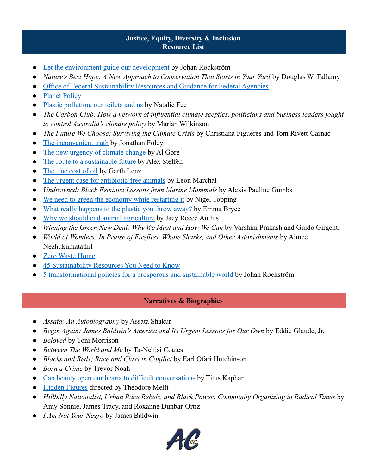- [Let the environment guide our development](https://www.ted.com/talks/johan_rockstrom_let_the_environment_guide_our_development) by Johan Rockström
- *Nature's Best Hope: A New Approach to Conservation That Starts in Your Yard by Douglas W. Tallamy*
- [Office of Federal Sustainability Resources and Guidance for Federal Agencies](http://sustainability.gov/resources)
- [Planet Policy](http://brookings.edu/blog/planetpolicy)
- [Plastic pollution, our toilets and us](https://www.ted.com/talks/natalie_fee_plastic_pollution_our_toilets_and_us) by Natalie Fee
- *The Carbon Club: How a network of influential climate sceptics, politicians and business leaders fought to control Australia's climate policy* by Marian Wilkinson
- *The Future We Choose: Surviving the Climate Crisis* by Christiana Figueres and Tom Rivett-Carnac
- [The inconvenient truth](https://www.ted.com/talks/jonathan_foley_the_other_inconvenient_truth) by Jonathan Foley
- [The new urgency of climate change](https://www.ted.com/talks/al_gore_the_new_urgency_of_climate_change) by Al Gore
- [The route to a sustainable future](https://www.ted.com/talks/alex_steffen_the_route_to_a_sustainable_future) by Alex Steffen
- [The true cost of oil](https://www.ted.com/talks/garth_lenz_the_true_cost_of_oil) by Garth Lenz
- [The urgent case for antibiotic-free animals](http://ted.com/talks/leon_marchal_the_urgent_case_for_antibiotic_free_animals) by Leon Marchal
- *Undrowned: Black Feminist Lessons from Marine Mammals* by Alexis Pauline Gumbs
- [We need to green the economy while restarting it](https://www.ted.com/talks/nigel_topping_we_need_to_green_the_economy_while_restarting_it) by Nigel Topping
- [What really happens to the plastic you throw away?](https://www.ted.com/talks/emma_bryce_what_really_happens_to_the_plastic_you_throw_away) by Emma Bryce
- [Why we should end animal agriculture](https://www.ted.com/talks/jacy_reese_anthis_why_we_should_end_animal_agriculture) by Jacy Reece Anthis
- *Winning the Green New Deal: Why We Must and How We Can by Varshini Prakash and Guido Girgenti*
- *World of Wonders: In Praise of Fireflies, Whale Sharks, and Other Astonishments* by Aimee Nezhukumatathil
- **[Zero Waste Home](http://zerowastehome.com)**
- [45 Sustainability Resources You Need to Know](https://www.purdueglobal.edu/blog/student-life/45-sustainability-resources/)
- [5 transformational policies for a prosperous and sustainable world](https://www.ted.com/talks/johan_rockstrom_5_transformational_policies_for_a_prosperous_and_sustainable_world) by Johan Rockström

# **Narratives & Biographies**

- *Assata: An Autobiography* by Assata Shakur
- *Begin Again: James Baldwin's America and Its Urgent Lessons for Our Own* by Eddie Glaude, Jr.
- *Beloved* by Toni Morrison
- *Between The World and Me* by Ta-Nehisi Coates
- *Blacks and Reds; Race and Class in Conflict* by Earl Ofari Hutchinson
- *Born a Crime* by Trevor Noah
- [Can beauty open our hearts to difficult conversations](https://www.ted.com/talks/titus_kaphar_can_beauty_open_our_hearts_to_difficult_conversations?language=en) by Titus Kaphar
- Hidden Figures directed by Theodore Melfi
- *Hillbilly Nationalist, Urban Race Rebels, and Black Power: Community Organizing in Radical Times* by Amy Sonnie, James Tracy, and Roxanne Dunbar-Ortiz
- *I Am Not Your Negro* by James Baldwin

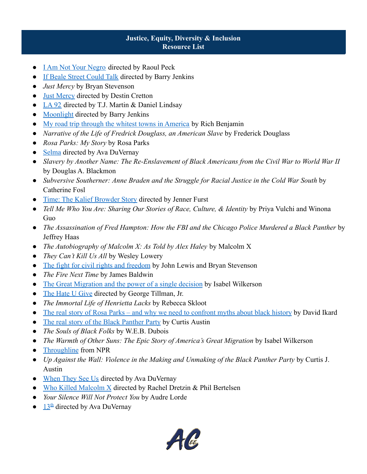- [I Am Not Your Negro](https://www.netflix.com/title/80144402) directed by Raoul Peck
- [If Beale Street Could Talk](https://www.hulu.com/movie/if-beale-street-could-talk-a862614d-c49e-4208-b934-1476963896fe) directed by Barry Jenkins
- *Just Mercy* by Bryan Stevenson
- [Just Mercy](https://www.justmercyfilm.com/) directed by Destin Cretton
- LA  $92$  directed by T.J. Martin & Daniel Lindsay
- [Moonlight](https://www.netflix.com/title/80121348) directed by Barry Jenkins
- [My road trip through the whitest towns in America](https://www.ted.com/talks/rich_benjamin_my_road_trip_through_the_whitest_towns_in_america?language=en) by Rich Benjamin
- *Narrative of the Life of Fredrick Douglass, an American Slave* by Frederick Douglass
- *Rosa Parks: My Story* by Rosa Parks
- [Selma](https://www.amazon.com/Selma-David-Oyelowo/dp/B00S0X4HK8) directed by Ava DuVernay
- *Slavery by Another Name: The Re-Enslavement of Black Americans from the Civil War to World War II* by Douglas A. Blackmon
- *Subversive Southerner: Anne Braden and the Struggle for Racial Justice in the Cold War South* by Catherine Fosl
- [Time: The Kalief Browder Story](https://www.netflix.com/title/80187052) directed by Jenner Furst
- *Tell Me Who You Are: Sharing Our Stories of Race, Culture, & Identity* by Priya Vulchi and Winona Guo
- *The Assassination of Fred Hampton: How the FBI and the Chicago Police Murdered a Black Panther* by Jeffrey Haas
- *The Autobiography of Malcolm X: As Told by Alex Haley* by Malcolm X
- *They Can't Kill Us All* by Wesley Lowery
- [The fight for civil rights and freedom](https://www.ted.com/talks/john_lewis_and_bryan_stevenson_the_fight_for_civil_rights_and_freedom) by John Lewis and Bryan Stevenson
- *The Fire Next Time* by James Baldwin
- [The Great Migration and the power of a single decision](https://www.ted.com/talks/isabel_wilkerson_the_great_migration_and_the_power_of_a_single_decision?language=en) by Isabel Wilkerson
- [The Hate U Give](https://www.hulu.com/movie/the-hate-u-give-71ec4528-cfe0-409c-accb-d1bb42c13db9) directed by George Tillman, Jr.
- *The Immortal Life of Henrietta Lacks* by Rebecca Skloot
- [The real story of Rosa Parks and why we need to confront myths about black history](https://www.ted.com/talks/david_ikard_the_real_story_of_rosa_parks_and_why_we_need_to_confront_myths_about_black_history?language=en) by David Ikard
- [The real story of the Black Panther Party](https://www.ted.com/talks/curtis_austin_the_real_story_of_the_black_panther_party?language=en) by Curtis Austin
- *The Souls of Black Folks* by W.E.B. Dubois
- *The Warmth of Other Suns: The Epic Story of America's Great Migration* by Isabel Wilkerson
- [Throughline](https://www.npr.org/podcasts/510333/throughline) from NPR
- *Up Against the Wall: Violence in the Making and Unmaking of the Black Panther Party* by Curtis J. Austin
- [When They See Us](https://www.netflix.com/title/80200549) directed by Ava DuVernay
- [Who Killed Malcolm X](https://www.netflix.com/title/80217478) directed by Rachel Dretzin & Phil Bertelsen
- *Your Silence Will Not Protect You* by Audre Lorde
- $13<sup>th</sup>$  $13<sup>th</sup>$  directed by Ava DuVernay